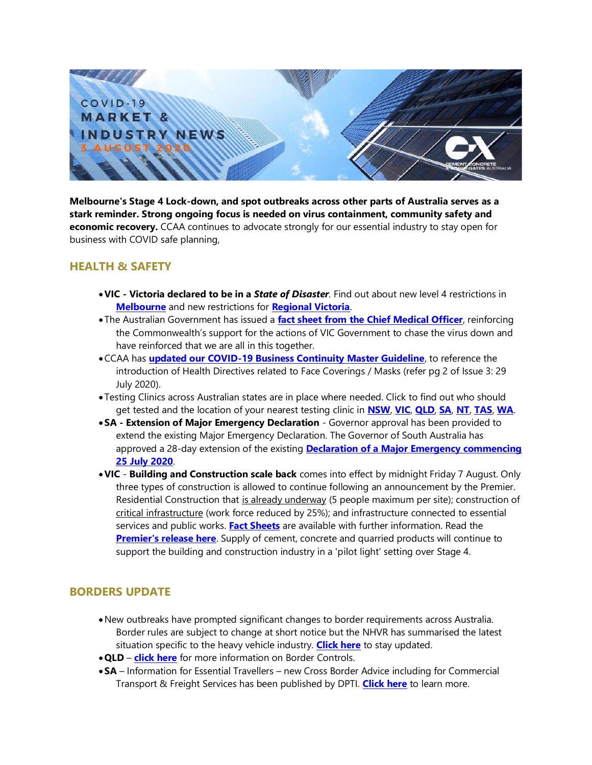

**Melbourne's Stage 4 Lock-down, and spot outbreaks across other parts of Australia serves as a stark reminder. Strong ongoing focus is needed on virus containment, community safety and economic recovery.** CCAA continues to advocate strongly for our essential industry to stay open for business with COVID safe planning,

## **HEALTH & SAFETY**

- •**VIC - Victoria declared to be in a** *State of Disaster.* Find out about new level 4 restrictions in **[Melbourne](https://www.premier.vic.gov.au/statement-changes-melbournes-restrictions)** and new restrictions for **[Regional Victoria](https://www.premier.vic.gov.au/statement-changes-regional-restrictions)**.
- The Australian Government has issued a **[fact sheet from the Chief Medical Officer](https://covid19inlanguage.homeaffairs.gov.au/system/files/2020-07/victoria-not-alone-cmo_0.pdf)**, reinforcing the Commonwealth's support for the actions of VIC Government to chase the virus down and have reinforced that we are all in this together.
- •CCAA has **[updated our COVID-19 Business Continuity Master Guideline](https://view.publitas.com/ccaa/ccaa_covid19_riskmanagementprotocols_newsletter_25032020/page/1)**, to reference the introduction of Health Directives related to Face Coverings / Masks (refer pg 2 of Issue 3: 29 July 2020).
- Testing Clinics across Australian states are in place where needed. Click to find out who should get tested and the location of your nearest testing clinic in **[NSW](https://www.nsw.gov.au/covid-19/how-to-protect-yourself-and-others/clinics)**, **[VIC](https://www.dhhs.vic.gov.au/where-get-tested-covid-19)**, **[QLD](https://www.qld.gov.au/health/conditions/health-alerts/coronavirus-covid-19/stay-informed/testing-and-fever-clinics)**, **[SA](https://www.sahealth.sa.gov.au/wps/wcm/connect/public+content/sa+health+internet/conditions/infectious+diseases/covid+2019/covid-19+response/covid-19+clinics+and+testing+centres)**, **[NT](https://coronavirus.nt.gov.au/stay-safe/symptoms-testing#section3)**, **[TAS](https://coronavirus.tas.gov.au/keeping-yourself-safe/testing-for-covid19)**, **[WA](https://healthywa.wa.gov.au/Articles/A_E/COVID-clinics)**.
- •**SA - Extension of Major Emergency Declaration** Governor approval has been provided to extend the existing Major Emergency Declaration. The Governor of South Australia has approved a 28-day extension of the existing **[Declaration of a Major Emergency commencing](https://www.covid-19.sa.gov.au/emergency-declarations/emergency-declaration)  [25 July 2020](https://www.covid-19.sa.gov.au/emergency-declarations/emergency-declaration)**.
- •**VIC Building and Construction scale back** comes into effect by midnight Friday 7 August. Only three types of construction is allowed to continue following an announcement by the Premier. Residential Construction that is already underway (5 people maximum per site); construction of critical infrastructure (work force reduced by 25%); and infrastructure connected to essential services and public works. **[Fact Sheets](https://www.business.vic.gov.au/disputes-disasters-and-succession-planning/covid-safe-business/creating-a-covid-safe-workplace)** are available with further information. Read the **[Premier's release here](https://www.premier.vic.gov.au/node/22084)**. Supply of cement, concrete and quarried products will continue to support the building and construction industry in a 'pilot light' setting over Stage 4.

## **BORDERS UPDATE**

- •New outbreaks have prompted significant changes to border requirements across Australia. Border rules are subject to change at short notice but the NHVR has summarised the latest situation specific to the heavy vehicle industry. **[Click here](https://www.nhvr.gov.au/about-us/coronavirus-response)** to stay updated.
- •**QLD [click here](https://www.covid19.qld.gov.au/government-actions/border-closing)** for more information on Border Controls.
- •**SA** Information for Essential Travellers new Cross Border Advice including for Commercial Transport & Freight Services has been published by DPTI. **[Click here](https://www.covid-19.sa.gov.au/__data/assets/pdf_file/0020/237062/COVID-19-Essential-Traveller-Table-31-July-2020.pdf)** to learn more.